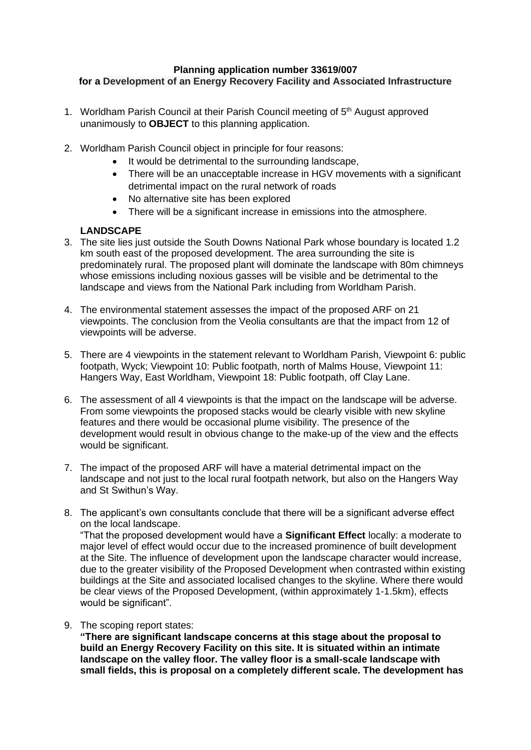## **Planning application number 33619/007 for a Development of an Energy Recovery Facility and Associated Infrastructure**

- 1. Worldham Parish Council at their Parish Council meeting of 5<sup>th</sup> August approved unanimously to **OBJECT** to this planning application.
- 2. Worldham Parish Council object in principle for four reasons:
	- It would be detrimental to the surrounding landscape,
	- There will be an unacceptable increase in HGV movements with a significant detrimental impact on the rural network of roads
	- No alternative site has been explored
	- There will be a significant increase in emissions into the atmosphere.

# **LANDSCAPE**

- 3. The site lies just outside the South Downs National Park whose boundary is located 1.2 km south east of the proposed development. The area surrounding the site is predominately rural. The proposed plant will dominate the landscape with 80m chimneys whose emissions including noxious gasses will be visible and be detrimental to the landscape and views from the National Park including from Worldham Parish.
- 4. The environmental statement assesses the impact of the proposed ARF on 21 viewpoints. The conclusion from the Veolia consultants are that the impact from 12 of viewpoints will be adverse.
- 5. There are 4 viewpoints in the statement relevant to Worldham Parish, Viewpoint 6: public footpath, Wyck; Viewpoint 10: Public footpath, north of Malms House, Viewpoint 11: Hangers Way, East Worldham, Viewpoint 18: Public footpath, off Clay Lane.
- 6. The assessment of all 4 viewpoints is that the impact on the landscape will be adverse. From some viewpoints the proposed stacks would be clearly visible with new skyline features and there would be occasional plume visibility. The presence of the development would result in obvious change to the make-up of the view and the effects would be significant.
- 7. The impact of the proposed ARF will have a material detrimental impact on the landscape and not just to the local rural footpath network, but also on the Hangers Way and St Swithun's Way.
- 8. The applicant's own consultants conclude that there will be a significant adverse effect on the local landscape. "That the proposed development would have a **Significant Effect** locally: a moderate to major level of effect would occur due to the increased prominence of built development at the Site. The influence of development upon the landscape character would increase, due to the greater visibility of the Proposed Development when contrasted within existing buildings at the Site and associated localised changes to the skyline. Where there would be clear views of the Proposed Development, (within approximately 1-1.5km), effects would be significant".
- 9. The scoping report states:

**"There are significant landscape concerns at this stage about the proposal to build an Energy Recovery Facility on this site. It is situated within an intimate landscape on the valley floor. The valley floor is a small-scale landscape with small fields, this is proposal on a completely different scale. The development has**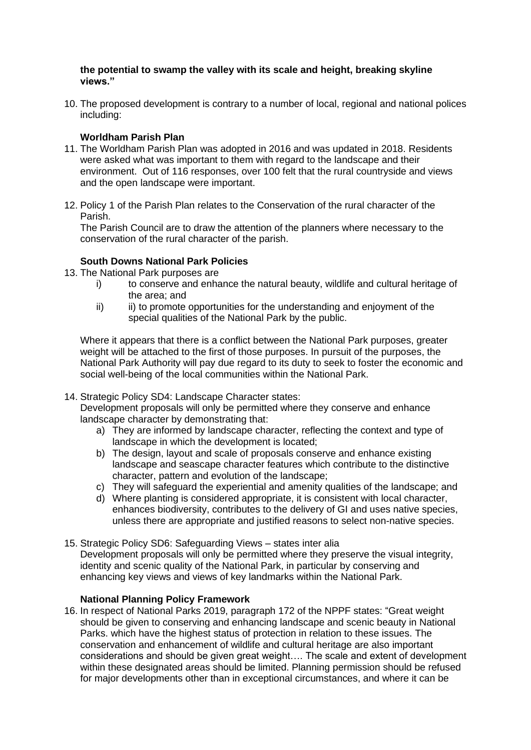## **the potential to swamp the valley with its scale and height, breaking skyline views."**

10. The proposed development is contrary to a number of local, regional and national polices including:

# **Worldham Parish Plan**

- 11. The Worldham Parish Plan was adopted in 2016 and was updated in 2018. Residents were asked what was important to them with regard to the landscape and their environment. Out of 116 responses, over 100 felt that the rural countryside and views and the open landscape were important.
- 12. Policy 1 of the Parish Plan relates to the Conservation of the rural character of the Parish.

The Parish Council are to draw the attention of the planners where necessary to the conservation of the rural character of the parish.

# **South Downs National Park Policies**

- 13. The National Park purposes are
	- i) to conserve and enhance the natural beauty, wildlife and cultural heritage of the area; and
	- ii) ii) to promote opportunities for the understanding and enjoyment of the special qualities of the National Park by the public.

Where it appears that there is a conflict between the National Park purposes, greater weight will be attached to the first of those purposes. In pursuit of the purposes, the National Park Authority will pay due regard to its duty to seek to foster the economic and social well-being of the local communities within the National Park.

14. Strategic Policy SD4: Landscape Character states:

Development proposals will only be permitted where they conserve and enhance landscape character by demonstrating that:

- a) They are informed by landscape character, reflecting the context and type of landscape in which the development is located;
- b) The design, layout and scale of proposals conserve and enhance existing landscape and seascape character features which contribute to the distinctive character, pattern and evolution of the landscape;
- c) They will safeguard the experiential and amenity qualities of the landscape; and
- d) Where planting is considered appropriate, it is consistent with local character, enhances biodiversity, contributes to the delivery of GI and uses native species, unless there are appropriate and justified reasons to select non-native species.
- 15. Strategic Policy SD6: Safeguarding Views states inter alia Development proposals will only be permitted where they preserve the visual integrity, identity and scenic quality of the National Park, in particular by conserving and enhancing key views and views of key landmarks within the National Park.

## **National Planning Policy Framework**

16. In respect of National Parks 2019, paragraph 172 of the NPPF states: "Great weight should be given to conserving and enhancing landscape and scenic beauty in National Parks. which have the highest status of protection in relation to these issues. The conservation and enhancement of wildlife and cultural heritage are also important considerations and should be given great weight…. The scale and extent of development within these designated areas should be limited. Planning permission should be refused for major developments other than in exceptional circumstances, and where it can be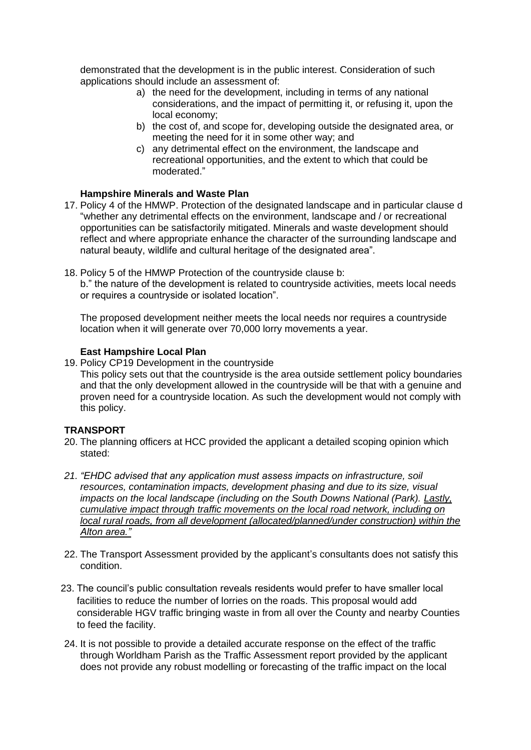demonstrated that the development is in the public interest. Consideration of such applications should include an assessment of:

- a) the need for the development, including in terms of any national considerations, and the impact of permitting it, or refusing it, upon the local economy;
- b) the cost of, and scope for, developing outside the designated area, or meeting the need for it in some other way; and
- c) any detrimental effect on the environment, the landscape and recreational opportunities, and the extent to which that could be moderated."

## **Hampshire Minerals and Waste Plan**

- 17. Policy 4 of the HMWP. Protection of the designated landscape and in particular clause d "whether any detrimental effects on the environment, landscape and / or recreational opportunities can be satisfactorily mitigated. Minerals and waste development should reflect and where appropriate enhance the character of the surrounding landscape and natural beauty, wildlife and cultural heritage of the designated area".
- 18. Policy 5 of the HMWP Protection of the countryside clause b:

b." the nature of the development is related to countryside activities, meets local needs or requires a countryside or isolated location".

The proposed development neither meets the local needs nor requires a countryside location when it will generate over 70,000 lorry movements a year.

## **East Hampshire Local Plan**

19. Policy CP19 Development in the countryside

This policy sets out that the countryside is the area outside settlement policy boundaries and that the only development allowed in the countryside will be that with a genuine and proven need for a countryside location. As such the development would not comply with this policy.

### **TRANSPORT**

- 20. The planning officers at HCC provided the applicant a detailed scoping opinion which stated:
- *21. "EHDC advised that any application must assess impacts on infrastructure, soil resources, contamination impacts, development phasing and due to its size, visual impacts on the local landscape (including on the South Downs National (Park). Lastly, cumulative impact through traffic movements on the local road network, including on local rural roads, from all development (allocated/planned/under construction) within the Alton area."*
- 22. The Transport Assessment provided by the applicant's consultants does not satisfy this condition.
- 23. The council's public consultation reveals residents would prefer to have smaller local facilities to reduce the number of lorries on the roads. This proposal would add considerable HGV traffic bringing waste in from all over the County and nearby Counties to feed the facility.
- 24. It is not possible to provide a detailed accurate response on the effect of the traffic through Worldham Parish as the Traffic Assessment report provided by the applicant does not provide any robust modelling or forecasting of the traffic impact on the local